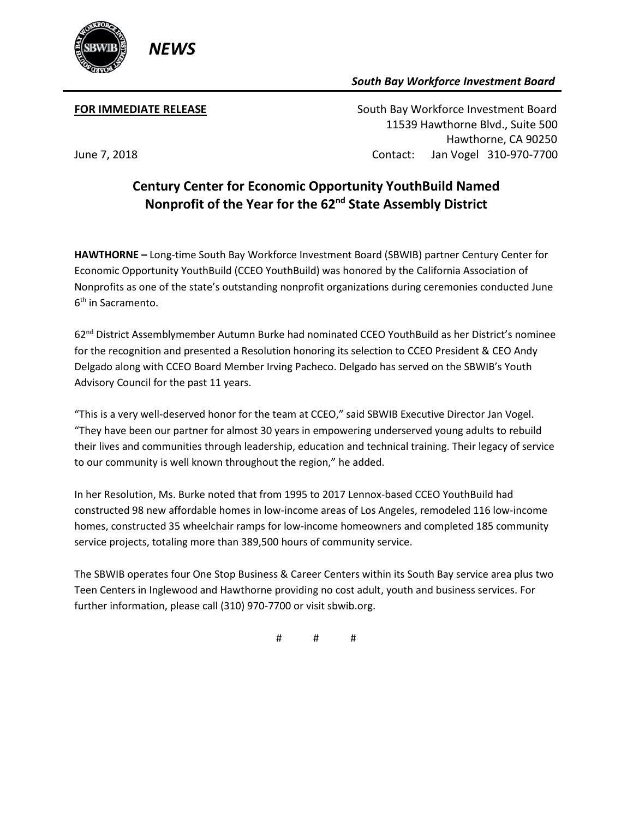

## *South Bay Workforce Investment Board*

**FOR IMMEDIATE RELEASE South Bay Workforce Investment Board**  11539 Hawthorne Blvd., Suite 500 Hawthorne, CA 90250 June 7, 2018 Contact: Jan Vogel 310-970-7700

## **Century Center for Economic Opportunity YouthBuild Named Nonprofit of the Year for the 62nd State Assembly District**

**HAWTHORNE –** Long-time South Bay Workforce Investment Board (SBWIB) partner Century Center for Economic Opportunity YouthBuild (CCEO YouthBuild) was honored by the California Association of Nonprofits as one of the state's outstanding nonprofit organizations during ceremonies conducted June 6th in Sacramento.

62nd District Assemblymember Autumn Burke had nominated CCEO YouthBuild as her District's nominee for the recognition and presented a Resolution honoring its selection to CCEO President & CEO Andy Delgado along with CCEO Board Member Irving Pacheco. Delgado has served on the SBWIB's Youth Advisory Council for the past 11 years.

"This is a very well-deserved honor for the team at CCEO," said SBWIB Executive Director Jan Vogel. "They have been our partner for almost 30 years in empowering underserved young adults to rebuild their lives and communities through leadership, education and technical training. Their legacy of service to our community is well known throughout the region," he added.

In her Resolution, Ms. Burke noted that from 1995 to 2017 Lennox-based CCEO YouthBuild had constructed 98 new affordable homes in low-income areas of Los Angeles, remodeled 116 low-income homes, constructed 35 wheelchair ramps for low-income homeowners and completed 185 community service projects, totaling more than 389,500 hours of community service.

The SBWIB operates four One Stop Business & Career Centers within its South Bay service area plus two Teen Centers in Inglewood and Hawthorne providing no cost adult, youth and business services. For further information, please call (310) 970-7700 or visit sbwib.org.

# # #